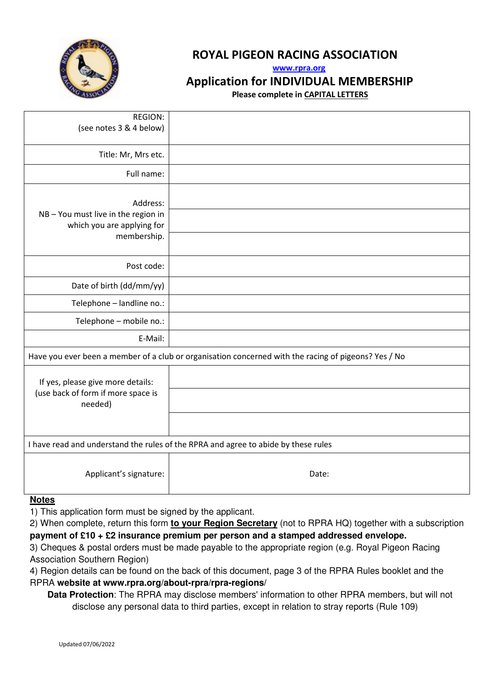

# ROYAL PIGEON RACING ASSOCIATION

www.rpra.org

Application for INDIVIDUAL MEMBERSHIP

Please complete in CAPITAL LETTERS

| <b>REGION:</b><br>(see notes 3 & 4 below)                                                            |       |
|------------------------------------------------------------------------------------------------------|-------|
| Title: Mr, Mrs etc.                                                                                  |       |
| Full name:                                                                                           |       |
| Address:<br>NB-You must live in the region in<br>which you are applying for                          |       |
| membership.                                                                                          |       |
| Post code:                                                                                           |       |
| Date of birth (dd/mm/yy)                                                                             |       |
| Telephone - landline no.:                                                                            |       |
| Telephone - mobile no.:                                                                              |       |
| E-Mail:                                                                                              |       |
| Have you ever been a member of a club or organisation concerned with the racing of pigeons? Yes / No |       |
| If yes, please give more details:                                                                    |       |
| (use back of form if more space is<br>needed)                                                        |       |
|                                                                                                      |       |
| I have read and understand the rules of the RPRA and agree to abide by these rules                   |       |
| Applicant's signature:                                                                               | Date: |
|                                                                                                      |       |

# **Notes**

1) This application form must be signed by the applicant.

2) When complete, return this form **to your Region Secretary** (not to RPRA HQ) together with a subscription **payment of £10 + £2 insurance premium per person and a stamped addressed envelope.**

3) Cheques & postal orders must be made payable to the appropriate region (e.g. Royal Pigeon Racing Association Southern Region)

4) Region details can be found on the back of this document, page 3 of the RPRA Rules booklet and the RPRA **website at www.rpra.org/about-rpra/rpra-regions/**

 **Data Protection**: The RPRA may disclose members' information to other RPRA members, but will not disclose any personal data to third parties, except in relation to stray reports (Rule 109)